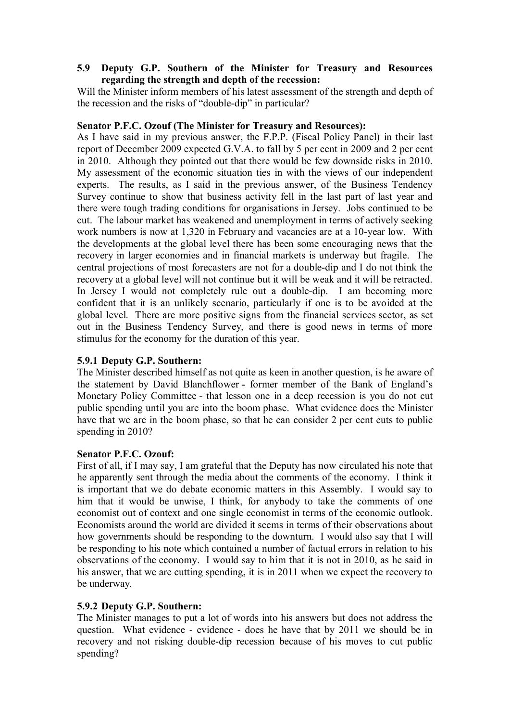## **5.9** � **Deputy G.P. Southern of the Minister for Treasury and Resources regarding the strength and depth of the recession:**

Will the Minister inform members of his latest assessment of the strength and depth of the recession and the risks of "double-dip" in particular?

## **Senator P.F.C. Ozouf (The Minister for Treasury and Resources):**

As I have said in my previous answer, the F.P.P. (Fiscal Policy Panel) in their last report of December 2009 expected G.V.A. to fall by 5 per cent in 2009 and 2 per cent in 2010. Although they pointed out that there would be few downside risks in 2010. My assessment of the economic situation ties in with the views of our independent experts. The results, as I said in the previous answer, of the Business Tendency Survey continue to show that business activity fell in the last part of last year and there were tough trading conditions for organisations in Jersey. Jobs continued to be cut. The labour market has weakened and unemployment in terms of actively seeking work numbers is now at 1,320 in February and vacancies are at a 10-year low. With the developments at the global level there has been some encouraging news that the recovery in larger economies and in financial markets is underway but fragile. The central projections of most forecasters are not for a double-dip and I do not think the recovery at a global level will not continue but it will be weak and it will be retracted. In Jersey I would not completely rule out a double-dip. I am becoming more confident that it is an unlikely scenario, particularly if one is to be avoided at the global level. There are more positive signs from the financial services sector, as set out in the Business Tendency Survey, and there is good news in terms of more stimulus for the economy for the duration of this year.

# **5.9.1 Deputy G.P. Southern:**

The Minister described himself as not quite as keen in another question, is he aware of the statement by David Blanchflower - former member of the Bank of England's Monetary Policy Committee - that lesson one in a deep recession is you do not cut public spending until you are into the boom phase. What evidence does the Minister have that we are in the boom phase, so that he can consider 2 per cent cuts to public spending in 2010?

#### **Senator P.F.C. Ozouf:**

First of all, if I may say, I am grateful that the Deputy has now circulated his note that he apparently sent through the media about the comments of the economy. I think it is important that we do debate economic matters in this Assembly. I would say to him that it would be unwise, I think, for anybody to take the comments of one economist out of context and one single economist in terms of the economic outlook. Economists around the world are divided it seems in terms of their observations about how governments should be responding to the downturn. I would also say that I will be responding to his note which contained a number of factual errors in relation to his observations of the economy. I would say to him that it is not in 2010, as he said in his answer, that we are cutting spending, it is in 2011 when we expect the recovery to be underway.

# **5.9.2 Deputy G.P. Southern:**

The Minister manages to put a lot of words into his answers but does not address the question. What evidence - evidence - does he have that by 2011 we should be in recovery and not risking double-dip recession because of his moves to cut public spending?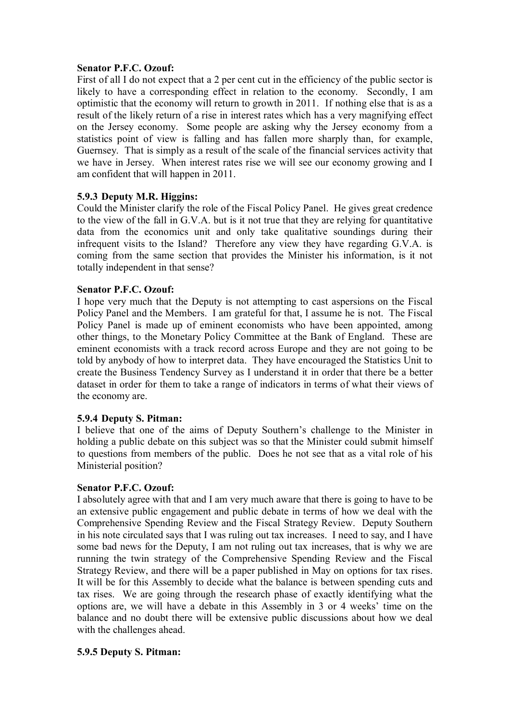### **Senator P.F.C. Ozouf:**

First of all I do not expect that a 2 per cent cut in the efficiency of the public sector is likely to have a corresponding effect in relation to the economy. Secondly, I am optimistic that the economy will return to growth in 2011. If nothing else that is as a result of the likely return of a rise in interest rates which has a very magnifying effect on the Jersey economy. Some people are asking why the Jersey economy from a statistics point of view is falling and has fallen more sharply than, for example, Guernsey. That is simply as a result of the scale of the financial services activity that we have in Jersey. When interest rates rise we will see our economy growing and I am confident that will happen in 2011.

## **5.9.3 Deputy M.R. Higgins:**

Could the Minister clarify the role of the Fiscal Policy Panel. He gives great credence to the view of the fall in G.V.A. but is it not true that they are relying for quantitative data from the economics unit and only take qualitative soundings during their infrequent visits to the Island? Therefore any view they have regarding G.V.A. is coming from the same section that provides the Minister his information, is it not totally independent in that sense?

## **Senator P.F.C. Ozouf:**

I hope very much that the Deputy is not attempting to cast aspersions on the Fiscal Policy Panel and the Members. I am grateful for that, I assume he is not. The Fiscal Policy Panel is made up of eminent economists who have been appointed, among other things, to the Monetary Policy Committee at the Bank of England. These are eminent economists with a track record across Europe and they are not going to be told by anybody of how to interpret data. They have encouraged the Statistics Unit to create the Business Tendency Survey as I understand it in order that there be a better dataset in order for them to take a range of indicators in terms of what their views of the economy are.

#### **5.9.4 Deputy S. Pitman:**

I believe that one of the aims of Deputy Southern's challenge to the Minister in holding a public debate on this subject was so that the Minister could submit himself to questions from members of the public. Does he not see that as a vital role of his Ministerial position?

#### **Senator P.F.C. Ozouf:**

I absolutely agree with that and I am very much aware that there is going to have to be an extensive public engagement and public debate in terms of how we deal with the Comprehensive Spending Review and the Fiscal Strategy Review. Deputy Southern in his note circulated says that I was ruling out tax increases. I need to say, and I have some bad news for the Deputy, I am not ruling out tax increases, that is why we are running the twin strategy of the Comprehensive Spending Review and the Fiscal Strategy Review, and there will be a paper published in May on options for tax rises. It will be for this Assembly to decide what the balance is between spending cuts and tax rises. We are going through the research phase of exactly identifying what the options are, we will have a debate in this Assembly in 3 or 4 weeks' time on the balance and no doubt there will be extensive public discussions about how we deal with the challenges ahead.

#### **5.9.5 Deputy S. Pitman:**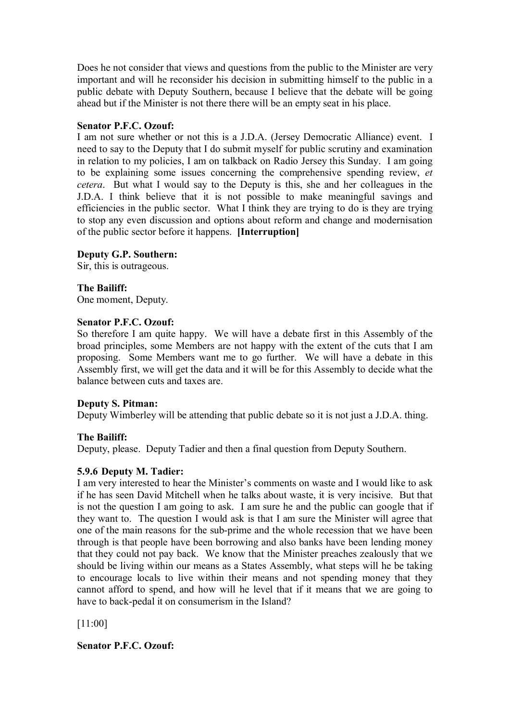Does he not consider that views and questions from the public to the Minister are very important and will he reconsider his decision in submitting himself to the public in a public debate with Deputy Southern, because I believe that the debate will be going ahead but if the Minister is not there there will be an empty seat in his place.

### **Senator P.F.C. Ozouf:**

I am not sure whether or not this is a J.D.A. (Jersey Democratic Alliance) event. I need to say to the Deputy that I do submit myself for public scrutiny and examination in relation to my policies, I am on talkback on Radio Jersey this Sunday. I am going to be explaining some issues concerning the comprehensive spending review, *et cetera*. But what I would say to the Deputy is this, she and her colleagues in the J.D.A. I think believe that it is not possible to make meaningful savings and efficiencies in the public sector. What I think they are trying to do is they are trying to stop any even discussion and options about reform and change and modernisation of the public sector before it happens. **[Interruption]** 

## **Deputy G.P. Southern:**

Sir, this is outrageous.

# **The Bailiff:**

One moment, Deputy.

## **Senator P.F.C. Ozouf:**

So therefore I am quite happy. We will have a debate first in this Assembly of the broad principles, some Members are not happy with the extent of the cuts that I am proposing. Some Members want me to go further. We will have a debate in this Assembly first, we will get the data and it will be for this Assembly to decide what the balance between cuts and taxes are.

# **Deputy S. Pitman:**

Deputy Wimberley will be attending that public debate so it is not just a J.D.A. thing.

# **The Bailiff:**

Deputy, please. Deputy Tadier and then a final question from Deputy Southern.

# **5.9.6 Deputy M. Tadier:**

I am very interested to hear the Minister's comments on waste and I would like to ask if he has seen David Mitchell when he talks about waste, it is very incisive. But that is not the question I am going to ask. I am sure he and the public can google that if they want to. The question I would ask is that I am sure the Minister will agree that one of the main reasons for the sub-prime and the whole recession that we have been through is that people have been borrowing and also banks have been lending money that they could not pay back. We know that the Minister preaches zealously that we should be living within our means as a States Assembly, what steps will he be taking to encourage locals to live within their means and not spending money that they cannot afford to spend, and how will he level that if it means that we are going to have to back-pedal it on consumerism in the Island?

[11:00]

**Senator P.F.C. Ozouf:**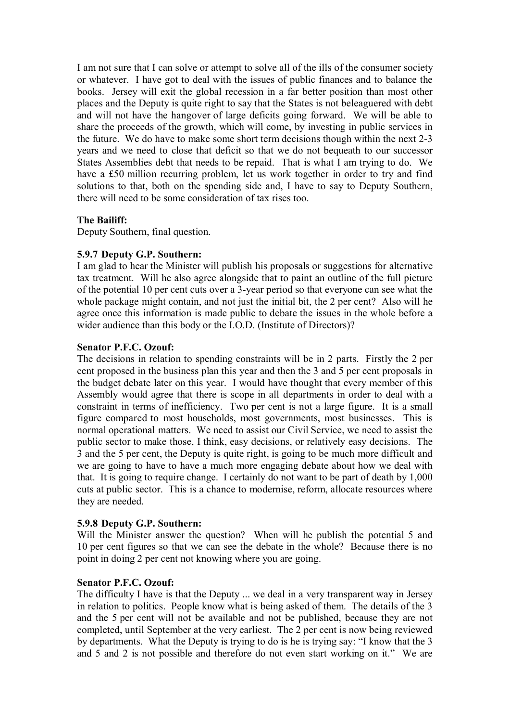I am not sure that I can solve or attempt to solve all of the ills of the consumer society or whatever. I have got to deal with the issues of public finances and to balance the books. Jersey will exit the global recession in a far better position than most other places and the Deputy is quite right to say that the States is not beleaguered with debt and will not have the hangover of large deficits going forward. We will be able to share the proceeds of the growth, which will come, by investing in public services in the future. We do have to make some short term decisions though within the next 2-3 years and we need to close that deficit so that we do not bequeath to our successor States Assemblies debt that needs to be repaid. That is what I am trying to do. We have a £50 million recurring problem, let us work together in order to try and find solutions to that, both on the spending side and, I have to say to Deputy Southern, there will need to be some consideration of tax rises too.

## **The Bailiff:**

Deputy Southern, final question.

## **5.9.7 Deputy G.P. Southern:**

I am glad to hear the Minister will publish his proposals or suggestions for alternative tax treatment. Will he also agree alongside that to paint an outline of the full picture of the potential 10 per cent cuts over a 3-year period so that everyone can see what the whole package might contain, and not just the initial bit, the 2 per cent? Also will he agree once this information is made public to debate the issues in the whole before a wider audience than this body or the I.O.D. (Institute of Directors)?

#### **Senator P.F.C. Ozouf:**

The decisions in relation to spending constraints will be in 2 parts. Firstly the 2 per cent proposed in the business plan this year and then the 3 and 5 per cent proposals in the budget debate later on this year. I would have thought that every member of this Assembly would agree that there is scope in all departments in order to deal with a constraint in terms of inefficiency. Two per cent is not a large figure. It is a small figure compared to most households, most governments, most businesses. This is normal operational matters. We need to assist our Civil Service, we need to assist the public sector to make those, I think, easy decisions, or relatively easy decisions. The 3 and the 5 per cent, the Deputy is quite right, is going to be much more difficult and we are going to have to have a much more engaging debate about how we deal with that. It is going to require change. I certainly do not want to be part of death by 1,000 cuts at public sector. This is a chance to modernise, reform, allocate resources where they are needed.

#### **5.9.8 Deputy G.P. Southern:**

Will the Minister answer the question? When will he publish the potential 5 and 10 per cent figures so that we can see the debate in the whole? Because there is no point in doing 2 per cent not knowing where you are going.

#### **Senator P.F.C. Ozouf:**

The difficulty I have is that the Deputy ... we deal in a very transparent way in Jersey in relation to politics. People know what is being asked of them. The details of the 3 and the 5 per cent will not be available and not be published, because they are not completed, until September at the very earliest. The 2 per cent is now being reviewed by departments. What the Deputy is trying to do is he is trying say: "I know that the 3 and 5 and 2 is not possible and therefore do not even start working on it." We are